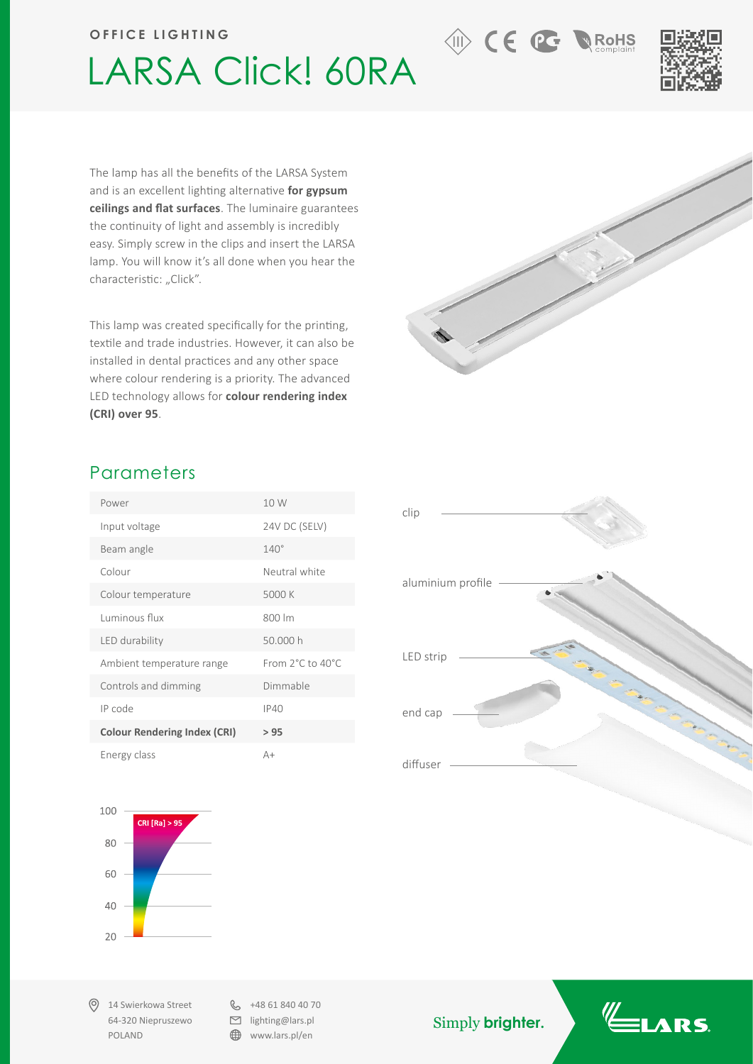## **OFFICE LIGHTING**

## LARSA Click! 60RA



**M** RoHS

**AD** CE **PG** 

The lamp has all the benefits of the LARSA System and is an excellent lighting alternative **for gypsum ceilings and flat surfaces**. The luminaire guarantees the continuity of light and assembly is incredibly easy. Simply screw in the clips and insert the LARSA lamp. You will know it's all done when you hear the characteristic: "Click".

This lamp was created specifically for the printing, textile and trade industries. However, it can also be installed in dental practices and any other space where colour rendering is a priority. The advanced LED technology allows for **colour rendering index (CRI) over 95**.

## **Parameters**

| Power                               | 10 W             |
|-------------------------------------|------------------|
| Input voltage                       | 24V DC (SELV)    |
| Beam angle                          | $140^\circ$      |
| Colour                              | Neutral white    |
| Colour temperature                  | 5000 K           |
| Luminous flux                       | 800 lm           |
| LED durability                      | 50.000 h         |
| Ambient temperature range           | From 2°C to 40°C |
| Controls and dimming                | Dimmable         |
| IP code                             | IP40             |
| <b>Colour Rendering Index (CRI)</b> | >95              |
| Energy class                        | $A+$             |



14 Swierkowa Street 64-320 Niepruszewo POLAND

 $\& +48618404070$  $\Box$  lighting@lars.pl ⊕ www.lars.pl/en

Simply **brighter.**